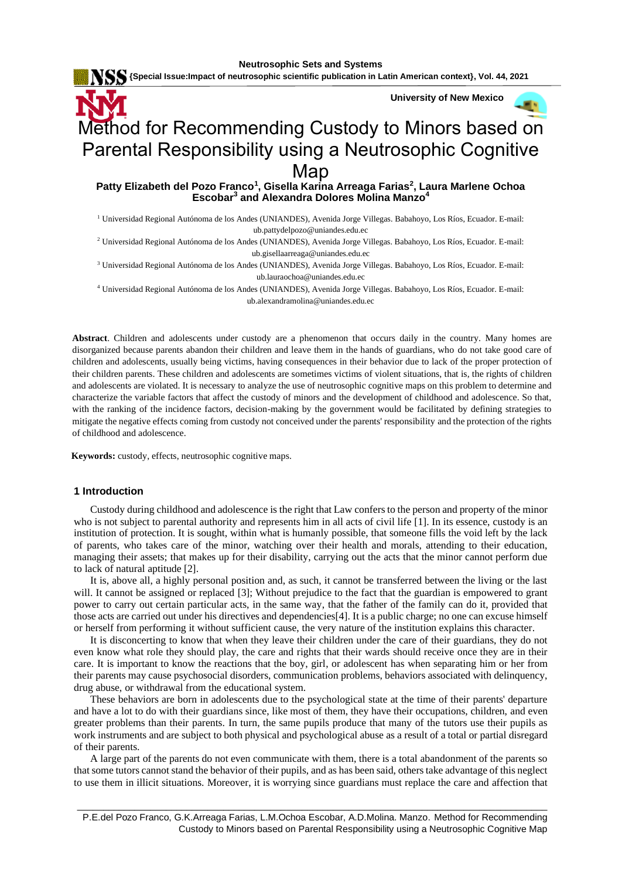**KS** {Special Issue:Impact of neutrosophic scientific publication in Latin American context}, Vol. 44, 2021

 **University of New Mexico**

a s

# Method for Recommending Custody to Minors based on Parental Responsibility using a Neutrosophic Cognitive

Map

**Patty Elizabeth del Pozo Franco<sup>1</sup> , Gisella Karina Arreaga Farias<sup>2</sup> , Laura Marlene Ochoa Escobar<sup>3</sup> and Alexandra Dolores Molina Manzo<sup>4</sup>**

<sup>1</sup> Universidad Regional Autónoma de los Andes (UNIANDES), Avenida Jorge Villegas. Babahoyo, Los Ríos, Ecuador. E-mail: [ub.pattydelpozo@uniandes.edu.ec](mailto:ub.pattydelpozo@uniandes.edu.ec)

<sup>2</sup> Universidad Regional Autónoma de los Andes (UNIANDES), Avenida Jorge Villegas. Babahoyo, Los Ríos, Ecuador. E-mail: [ub.gisellaarreaga@uniandes.edu.ec](mailto:ub.gisellaarreaga@uniandes.edu.ec)

<sup>3</sup> Universidad Regional Autónoma de los Andes (UNIANDES), Avenida Jorge Villegas. Babahoyo, Los Ríos, Ecuador. E-mail: [ub.lauraochoa@uniandes.edu.ec](mailto:ub.lauraochoa@uniandes.edu.ec)

<sup>4</sup> Universidad Regional Autónoma de los Andes (UNIANDES), Avenida Jorge Villegas. Babahoyo, Los Ríos, Ecuador. E-mail: [ub.alexandramolina@uniandes.edu.ec](mailto:ub.alexandramolina@uniandes.edu.ec)

**Abstract**. Children and adolescents under custody are a phenomenon that occurs daily in the country. Many homes are disorganized because parents abandon their children and leave them in the hands of guardians, who do not take good care of children and adolescents, usually being victims, having consequences in their behavior due to lack of the proper protection of their children parents. These children and adolescents are sometimes victims of violent situations, that is, the rights of children and adolescents are violated. It is necessary to analyze the use of neutrosophic cognitive maps on this problem to determine and characterize the variable factors that affect the custody of minors and the development of childhood and adolescence. So that, with the ranking of the incidence factors, decision-making by the government would be facilitated by defining strategies to mitigate the negative effects coming from custody not conceived under the parents' responsibility and the protection of the rights of childhood and adolescence.

 **Keywords:** custody, effects, neutrosophic cognitive maps.

#### **1 Introduction**

Custody during childhood and adolescence is the right that Law confers to the person and property of the minor who is not subject to parental authority and represents him in all acts of civil life [\[1\]](#page-7-0). In its essence, custody is an institution of protection. It is sought, within what is humanly possible, that someone fills the void left by the lack of parents, who takes care of the minor, watching over their health and morals, attending to their education, managing their assets; that makes up for their disability, carrying out the acts that the minor cannot perform due to lack of natural aptitude [\[2\]](#page-7-1).

It is, above all, a highly personal position and, as such, it cannot be transferred between the living or the last will. It cannot be assigned or replaced [\[3\]](#page-7-2); Without prejudice to the fact that the guardian is empowered to grant power to carry out certain particular acts, in the same way, that the father of the family can do it, provided that those acts are carried out under his directives and dependencies[\[4\]](#page-7-3). It is a public charge; no one can excuse himself or herself from performing it without sufficient cause, the very nature of the institution explains this character.

It is disconcerting to know that when they leave their children under the care of their guardians, they do not even know what role they should play, the care and rights that their wards should receive once they are in their care. It is important to know the reactions that the boy, girl, or adolescent has when separating him or her from their parents may cause psychosocial disorders, communication problems, behaviors associated with delinquency, drug abuse, or withdrawal from the educational system.

These behaviors are born in adolescents due to the psychological state at the time of their parents' departure and have a lot to do with their guardians since, like most of them, they have their occupations, children, and even greater problems than their parents. In turn, the same pupils produce that many of the tutors use their pupils as work instruments and are subject to both physical and psychological abuse as a result of a total or partial disregard of their parents.

A large part of the parents do not even communicate with them, there is a total abandonment of the parents so that some tutors cannot stand the behavior of their pupils, and as has been said, others take advantage of this neglect to use them in illicit situations. Moreover, it is worrying since guardians must replace the care and affection that

\_\_\_\_\_\_\_\_\_\_\_\_\_\_\_\_\_\_\_\_\_\_\_\_\_\_\_\_\_\_\_\_\_\_\_\_\_\_\_\_\_\_\_\_\_\_\_\_\_\_\_\_\_\_\_\_\_\_\_\_\_\_\_\_\_\_\_\_\_\_\_\_\_\_\_\_\_\_\_\_\_\_\_\_\_\_\_\_\_\_ P.E.del Pozo Franco, G.K.Arreaga Farias, L.M.Ochoa Escobar, A.D.Molina. Manzo. Method for Recommending Custody to Minors based on Parental Responsibility using a Neutrosophic Cognitive Map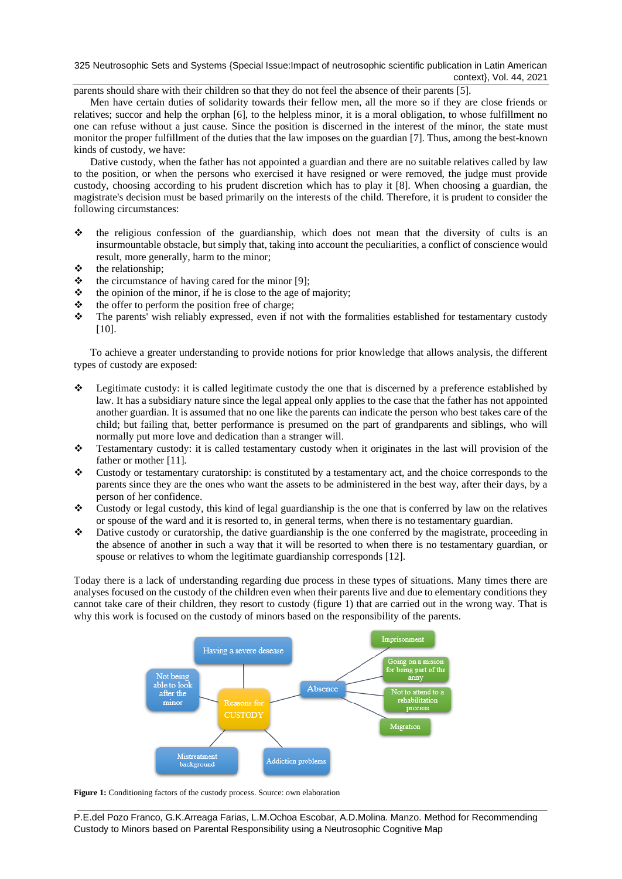325 Neutrosophic Sets and Systems {Special Issue:Impact of neutrosophic scientific publication in Latin American context}, Vol. 44, 2021

parents should share with their children so that they do not feel the absence of their parents [\[5\]](#page-7-4).

Men have certain duties of solidarity towards their fellow men, all the more so if they are close friends or relatives; succor and help the orphan [\[6\]](#page-7-5), to the helpless minor, it is a moral obligation, to whose fulfillment no one can refuse without a just cause. Since the position is discerned in the interest of the minor, the state must monitor the proper fulfillment of the duties that the law imposes on the guardian [\[7\]](#page-7-6). Thus, among the best-known kinds of custody, we have:

Dative custody, when the father has not appointed a guardian and there are no suitable relatives called by law to the position, or when the persons who exercised it have resigned or were removed, the judge must provide custody, choosing according to his prudent discretion which has to play it [\[8\]](#page-7-7). When choosing a guardian, the magistrate's decision must be based primarily on the interests of the child. Therefore, it is prudent to consider the following circumstances:

- ❖ the religious confession of the guardianship, which does not mean that the diversity of cults is an insurmountable obstacle, but simply that, taking into account the peculiarities, a conflict of conscience would result, more generally, harm to the minor;
- $\therefore$  the relationship;<br> $\therefore$  the circumstance
- the circumstance of having cared for the minor [\[9\]](#page-7-8);
- $\triangle$  the opinion of the minor, if he is close to the age of majority;
- $\triangle$  the offer to perform the position free of charge;
- ❖ The parents' wish reliably expressed, even if not with the formalities established for testamentary custody [\[10\]](#page-7-9).

To achieve a greater understanding to provide notions for prior knowledge that allows analysis, the different types of custody are exposed:

- ❖ Legitimate custody: it is called legitimate custody the one that is discerned by a preference established by law. It has a subsidiary nature since the legal appeal only applies to the case that the father has not appointed another guardian. It is assumed that no one like the parents can indicate the person who best takes care of the child; but failing that, better performance is presumed on the part of grandparents and siblings, who will normally put more love and dedication than a stranger will.
- ❖ Testamentary custody: it is called testamentary custody when it originates in the last will provision of the father or mother [\[11\]](#page-7-10).
- ❖ Custody or testamentary curatorship: is constituted by a testamentary act, and the choice corresponds to the parents since they are the ones who want the assets to be administered in the best way, after their days, by a person of her confidence.
- ❖ Custody or legal custody, this kind of legal guardianship is the one that is conferred by law on the relatives or spouse of the ward and it is resorted to, in general terms, when there is no testamentary guardian.
- ❖ Dative custody or curatorship, the dative guardianship is the one conferred by the magistrate, proceeding in the absence of another in such a way that it will be resorted to when there is no testamentary guardian, or spouse or relatives to whom the legitimate guardianship corresponds [\[12\]](#page-7-11).

Today there is a lack of understanding regarding due process in these types of situations. Many times there are analyses focused on the custody of the children even when their parents live and due to elementary conditions they cannot take care of their children, they resort to custody (figure 1) that are carried out in the wrong way. That is why this work is focused on the custody of minors based on the responsibility of the parents.



**Figure 1:** Conditioning factors of the custody process. Source: own elaboration

P.E.del Pozo Franco, G.K.Arreaga Farias, L.M.Ochoa Escobar, A.D.Molina. Manzo. Method for Recommending Custody to Minors based on Parental Responsibility using a Neutrosophic Cognitive Map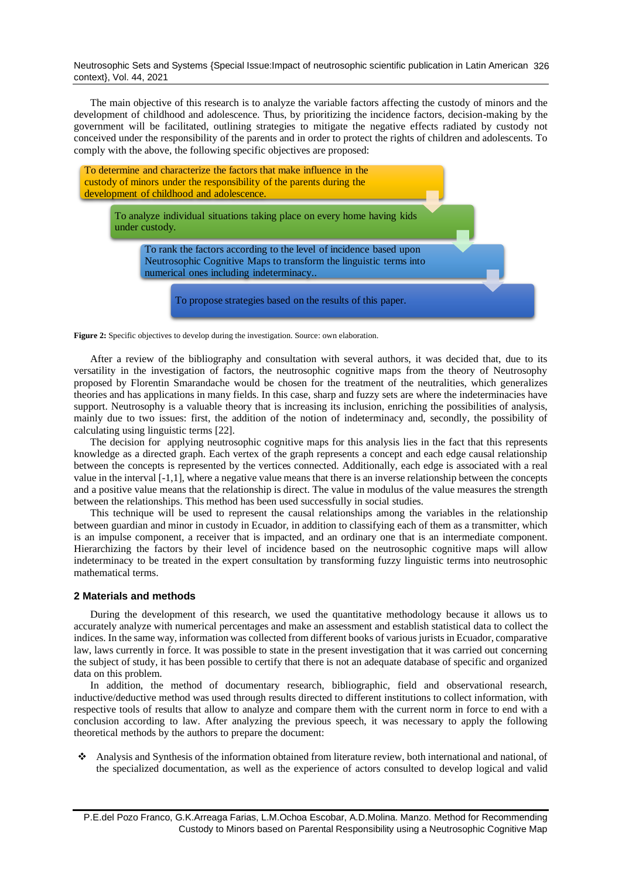Neutrosophic Sets and Systems {Special Issue:Impact of neutrosophic scientific publication in Latin American 326 context}, Vol. 44, 2021

The main objective of this research is to analyze the variable factors affecting the custody of minors and the development of childhood and adolescence. Thus, by prioritizing the incidence factors, decision-making by the government will be facilitated, outlining strategies to mitigate the negative effects radiated by custody not conceived under the responsibility of the parents and in order to protect the rights of children and adolescents. To comply with the above, the following specific objectives are proposed:



**Figure 2:** Specific objectives to develop during the investigation. Source: own elaboration.

After a review of the bibliography and consultation with several authors, it was decided that, due to its versatility in the investigation of factors, the neutrosophic cognitive maps from the theory of Neutrosophy proposed by Florentin Smarandache would be chosen for the treatment of the neutralities, which generalizes theories and has applications in many fields. In this case, sharp and fuzzy sets are where the indeterminacies have support. Neutrosophy is a valuable theory that is increasing its inclusion, enriching the possibilities of analysis, mainly due to two issues: first, the addition of the notion of indeterminacy and, secondly, the possibility of calculating using linguistic terms [22].

The decision for applying neutrosophic cognitive maps for this analysis lies in the fact that this represents knowledge as a directed graph. Each vertex of the graph represents a concept and each edge causal relationship between the concepts is represented by the vertices connected. Additionally, each edge is associated with a real value in the interval [-1,1], where a negative value means that there is an inverse relationship between the concepts and a positive value means that the relationship is direct. The value in modulus of the value measures the strength between the relationships. This method has been used successfully in social studies.

This technique will be used to represent the causal relationships among the variables in the relationship between guardian and minor in custody in Ecuador, in addition to classifying each of them as a transmitter, which is an impulse component, a receiver that is impacted, and an ordinary one that is an intermediate component. Hierarchizing the factors by their level of incidence based on the neutrosophic cognitive maps will allow indeterminacy to be treated in the expert consultation by transforming fuzzy linguistic terms into neutrosophic mathematical terms.

#### **2 Materials and methods**

During the development of this research, we used the quantitative methodology because it allows us to accurately analyze with numerical percentages and make an assessment and establish statistical data to collect the indices. In the same way, information was collected from different books of various jurists in Ecuador, comparative law, laws currently in force. It was possible to state in the present investigation that it was carried out concerning the subject of study, it has been possible to certify that there is not an adequate database of specific and organized data on this problem.

In addition, the method of documentary research, bibliographic, field and observational research, inductive/deductive method was used through results directed to different institutions to collect information, with respective tools of results that allow to analyze and compare them with the current norm in force to end with a conclusion according to law. After analyzing the previous speech, it was necessary to apply the following theoretical methods by the authors to prepare the document:

❖ Analysis and Synthesis of the information obtained from literature review, both international and national, of the specialized documentation, as well as the experience of actors consulted to develop logical and valid

P.E.del Pozo Franco, G.K.Arreaga Farias, L.M.Ochoa Escobar, A.D.Molina. Manzo. Method for Recommending Custody to Minors based on Parental Responsibility using a Neutrosophic Cognitive Map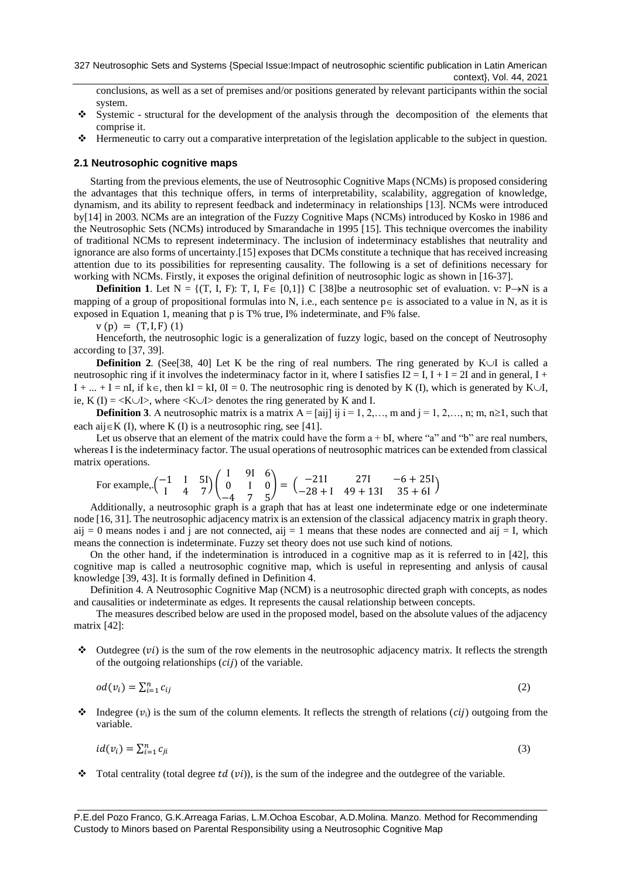conclusions, as well as a set of premises and/or positions generated by relevant participants within the social system.

- ❖ Systemic structural for the development of the analysis through the decomposition of the elements that comprise it.
- ❖ Hermeneutic to carry out a comparative interpretation of the legislation applicable to the subject in question.

#### **2.1 Neutrosophic cognitive maps**

Starting from the previous elements, the use of Neutrosophic Cognitive Maps (NCMs) is proposed considering the advantages that this technique offers, in terms of interpretability, scalability, aggregation of knowledge, dynamism, and its ability to represent feedback and indeterminacy in relationships [\[13\]](#page-7-12). NCMs were introduced by[\[14\]](#page-7-13) in 2003. NCMs are an integration of the Fuzzy Cognitive Maps (NCMs) introduced by Kosko in 1986 and the Neutrosophic Sets (NCMs) introduced by Smarandache in 1995 [\[15\]](#page-7-14). This technique overcomes the inability of traditional NCMs to represent indeterminacy. The inclusion of indeterminacy establishes that neutrality and ignorance are also forms of uncertainty.[\[15\]](#page-7-14) exposes that DCMs constitute a technique that has received increasing attention due to its possibilities for representing causality. The following is a set of definitions necessary for working with NCMs. Firstly, it exposes the original definition of neutrosophic logic as shown in [\[16-37\]](#page-7-15).

**Definition 1**. Let  $N = \{(T, I, F): T, I, F \in [0,1]\}$  C [\[38\]](#page-8-0)be a neutrosophic set of evaluation. v: P $\rightarrow$ N is a mapping of a group of propositional formulas into N, i.e., each sentence  $p \in i$ s associated to a value in N, as it is exposed in Equation 1, meaning that p is T% true, I% indeterminate, and F% false.

 $v(p) = (T, I, F)$  (1)

Henceforth, the neutrosophic logic is a generalization of fuzzy logic, based on the concept of Neutrosophy according to [\[37,](#page-8-1) [39\]](#page-8-2).

**Definition 2.** (See [\[38,](#page-8-0) [40\]](#page-8-3) Let K be the ring of real numbers. The ring generated by K $\cup$ I is called a neutrosophic ring if it involves the indeterminacy factor in it, where I satisfies  $I2 = I$ ,  $I + I = 2I$  and in general,  $I + I$  $I + ... + I = nI$ , if  $k \in$ , then kI = kI,  $0I = 0$ . The neutrosophic ring is denoted by K (I), which is generated by K $\cup I$ , ie, K (I) =  $\langle K \cup I \rangle$ , where  $\langle K \cup I \rangle$  denotes the ring generated by K and I.

**Definition 3**. A neutrosophic matrix is a matrix  $A = [\text{ai}]$  ii  $i = 1, 2, \ldots, m$  and  $j = 1, 2, \ldots, n$ ; m,  $n \ge 1$ , such that each aij $\in$ K (I), where K (I) is a neutrosophic ring, see [\[41\]](#page-8-4).

Let us observe that an element of the matrix could have the form  $a + bI$ , where "a" and "b" are real numbers, whereas I is the indeterminacy factor. The usual operations of neutrosophic matrices can be extended from classical matrix operations.

For example, 
$$
\begin{pmatrix} -1 & 1 & 5 \ 1 & 4 & 7 \end{pmatrix} \begin{pmatrix} 1 & 91 & 6 \ 0 & 1 & 0 \ -4 & 7 & 5 \end{pmatrix} = \begin{pmatrix} -211 & 271 & -6 + 251 \ -28 + 1 & 49 + 131 & 35 + 61 \end{pmatrix}
$$

Additionally, a neutrosophic graph is a graph that has at least one indeterminate edge or one indeterminate node [\[16,](#page-7-15) [31\]](#page-8-5). The neutrosophic adjacency matrix is an extension of the classical adjacency matrix in graph theory. aij = 0 means nodes i and j are not connected, aij = 1 means that these nodes are connected and aij = I, which means the connection is indeterminate. Fuzzy set theory does not use such kind of notions.

On the other hand, if the indetermination is introduced in a cognitive map as it is referred to in [\[42\]](#page-8-6), this cognitive map is called a neutrosophic cognitive map, which is useful in representing and anlysis of causal knowledge [\[39,](#page-8-2) [43\]](#page-8-7). It is formally defined in Definition 4.

Definition 4. A Neutrosophic Cognitive Map (NCM) is a neutrosophic directed graph with concepts, as nodes and causalities or indeterminate as edges. It represents the causal relationship between concepts.

The measures described below are used in the proposed model, based on the absolute values of the adjacency matrix [\[42\]](#page-8-6):

 $\bullet$  Outdegree (*vi*) is the sum of the row elements in the neutrosophic adjacency matrix. It reflects the strength of the outgoing relationships  $(cii)$  of the variable.

$$
od(v_i) = \sum_{i=1}^{n} c_{ij}
$$
 (2)

 $\triangleleft$  Indegree  $(v_i)$  is the sum of the column elements. It reflects the strength of relations (*cij*) outgoing from the variable.

$$
id(v_i) = \sum_{i=1}^{n} c_{ji} \tag{3}
$$

 $\bullet$  Total centrality (total degree td (vi)), is the sum of the indegree and the outdegree of the variable.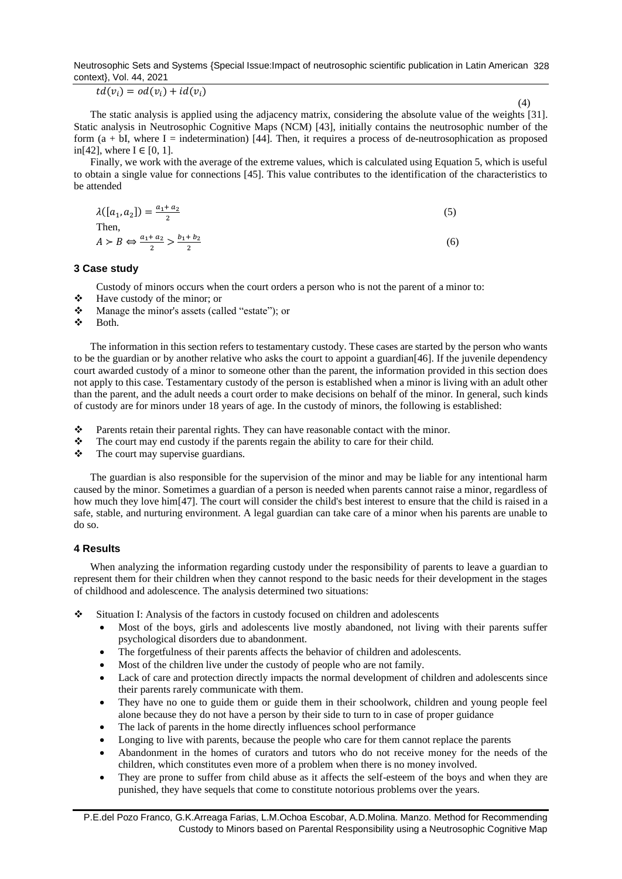Neutrosophic Sets and Systems {Special Issue:Impact of neutrosophic scientific publication in Latin American 328 context}, Vol. 44, 2021

 $td(v_i) = od(v_i) + id(v_i)$ 

(4)

The static analysis is applied using the adjacency matrix, considering the absolute value of the weights [\[31\]](#page-8-5). Static analysis in Neutrosophic Cognitive Maps (NCM) [\[43\]](#page-8-7), initially contains the neutrosophic number of the form  $(a + bI)$ , where I = indetermination) [\[44\]](#page-8-8). Then, it requires a process of de-neutrosophication as proposed in[\[42\]](#page-8-6), where  $I \in [0, 1]$ .

Finally, we work with the average of the extreme values, which is calculated using Equation 5, which is useful to obtain a single value for connections [\[45\]](#page-8-9). This value contributes to the identification of the characteristics to be attended

$$
\lambda([a_1, a_2]) = \frac{a_1 + a_2}{2}
$$
  
Then,  

$$
A > B \Leftrightarrow \frac{a_1 + a_2}{2} > \frac{b_1 + b_2}{2}
$$
 (6)

## **3 Case study**

Custody of minors occurs when the court orders a person who is not the parent of a minor to:

- ❖ Have custody of the minor; or
- ❖ Manage the minor's assets (called "estate"); or
- ❖ Both.

The information in this section refers to testamentary custody. These cases are started by the person who wants to be the guardian or by another relative who asks the court to appoint a guardian[\[46\]](#page-8-10). If the juvenile dependency court awarded custody of a minor to someone other than the parent, the information provided in this section does not apply to this case. Testamentary custody of the person is established when a minor is living with an adult other than the parent, and the adult needs a court order to make decisions on behalf of the minor. In general, such kinds of custody are for minors under 18 years of age. In the custody of minors, the following is established:

- ❖ Parents retain their parental rights. They can have reasonable contact with the minor.
- ❖ The court may end custody if the parents regain the ability to care for their child.
- ❖ The court may supervise guardians.

The guardian is also responsible for the supervision of the minor and may be liable for any intentional harm caused by the minor. Sometimes a guardian of a person is needed when parents cannot raise a minor, regardless of how much they love him<sup>[\[47\]](#page-8-11)</sup>. The court will consider the child's best interest to ensure that the child is raised in a safe, stable, and nurturing environment. A legal guardian can take care of a minor when his parents are unable to do so.

#### **4 Results**

When analyzing the information regarding custody under the responsibility of parents to leave a guardian to represent them for their children when they cannot respond to the basic needs for their development in the stages of childhood and adolescence. The analysis determined two situations:

- ❖ Situation I: Analysis of the factors in custody focused on children and adolescents
	- Most of the boys, girls and adolescents live mostly abandoned, not living with their parents suffer psychological disorders due to abandonment.
	- The forgetfulness of their parents affects the behavior of children and adolescents.
	- Most of the children live under the custody of people who are not family.
	- Lack of care and protection directly impacts the normal development of children and adolescents since their parents rarely communicate with them.
	- They have no one to guide them or guide them in their schoolwork, children and young people feel alone because they do not have a person by their side to turn to in case of proper guidance
	- The lack of parents in the home directly influences school performance
	- Longing to live with parents, because the people who care for them cannot replace the parents
	- Abandonment in the homes of curators and tutors who do not receive money for the needs of the children, which constitutes even more of a problem when there is no money involved.
	- They are prone to suffer from child abuse as it affects the self-esteem of the boys and when they are punished, they have sequels that come to constitute notorious problems over the years.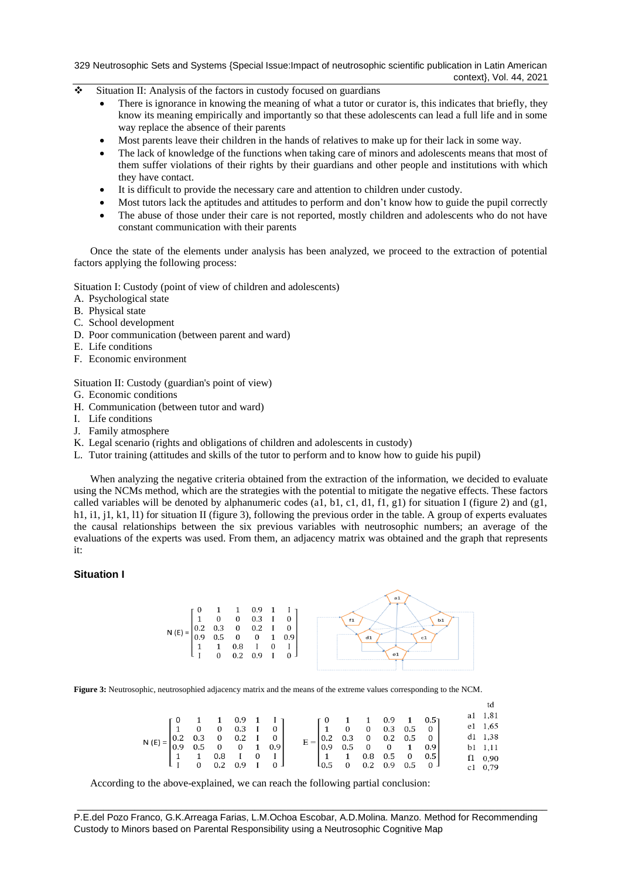329 Neutrosophic Sets and Systems {Special Issue:Impact of neutrosophic scientific publication in Latin American context}, Vol. 44, 2021

- ❖ Situation II: Analysis of the factors in custody focused on guardians
	- There is ignorance in knowing the meaning of what a tutor or curator is, this indicates that briefly, they know its meaning empirically and importantly so that these adolescents can lead a full life and in some way replace the absence of their parents
	- Most parents leave their children in the hands of relatives to make up for their lack in some way.
	- The lack of knowledge of the functions when taking care of minors and adolescents means that most of them suffer violations of their rights by their guardians and other people and institutions with which they have contact.
	- It is difficult to provide the necessary care and attention to children under custody.
	- Most tutors lack the aptitudes and attitudes to perform and don't know how to guide the pupil correctly
	- The abuse of those under their care is not reported, mostly children and adolescents who do not have constant communication with their parents

Once the state of the elements under analysis has been analyzed, we proceed to the extraction of potential factors applying the following process:

Situation I: Custody (point of view of children and adolescents)

- A. Psychological state
- B. Physical state
- C. School development
- D. Poor communication (between parent and ward)
- E. Life conditions
- F. Economic environment

Situation II: Custody (guardian's point of view)

- G. Economic conditions
- H. Communication (between tutor and ward)
- I. Life conditions
- J. Family atmosphere
- K. Legal scenario (rights and obligations of children and adolescents in custody)
- L. Tutor training (attitudes and skills of the tutor to perform and to know how to guide his pupil)

When analyzing the negative criteria obtained from the extraction of the information, we decided to evaluate using the NCMs method, which are the strategies with the potential to mitigate the negative effects. These factors called variables will be denoted by alphanumeric codes (a1, b1, c1, d1, f1, g1) for situation I (figure 2) and (g1, h1, i1, j1, k1, l1) for situation II (figure 3), following the previous order in the table. A group of experts evaluates the causal relationships between the six previous variables with neutrosophic numbers; an average of the evaluations of the experts was used. From them, an adjacency matrix was obtained and the graph that represents it:

#### **Situation I**



**Figure 3:** Neutrosophic, neutrosophied adjacency matrix and the means of the extreme values corresponding to the NCM.

|                                                                                                                                                                           |  |  |  |                                                                                                                                                                    |                                                                                                         |  |  |  | al 1,81         |
|---------------------------------------------------------------------------------------------------------------------------------------------------------------------------|--|--|--|--------------------------------------------------------------------------------------------------------------------------------------------------------------------|---------------------------------------------------------------------------------------------------------|--|--|--|-----------------|
| $\mathsf{N}\left(\mathsf{E}\right)=\begin{bmatrix} 0&1&1&0.9&1&1\\ 1&0&0&0.3&1&0\\ 0.2&0.3&0&0.2&1&0\\ 0.9&0.5&0&0&1&0.9\\ 1&1&0.8&1&0&1\\ 1&0&0.2&0.9&1&0 \end{bmatrix}$ |  |  |  |                                                                                                                                                                    | $\left[\begin{array}{ccccccc} 0 & 1 & 1 & 0.9 & 1 & 0.5 \ 1 & 0 & 0 & 0.3 & 0.5 & 0 \end{array}\right]$ |  |  |  | e1 1,65         |
|                                                                                                                                                                           |  |  |  |                                                                                                                                                                    |                                                                                                         |  |  |  | $d1 \quad 1,38$ |
|                                                                                                                                                                           |  |  |  | $E = \begin{bmatrix} 0.2 & 0.3 & 0 & 0.2 & 0.5 & 0 \\ 0.9 & 0.5 & 0 & 0 & 1 & 0.9 \\ 1 & 1 & 0.8 & 0.5 & 0 & 0.5 \\ 2 & 0.7 & 0.8 & 0.8 & 0.8 & 0.9 \end{bmatrix}$ |                                                                                                         |  |  |  | b1 1,11         |
|                                                                                                                                                                           |  |  |  |                                                                                                                                                                    |                                                                                                         |  |  |  | f1 0,90         |
|                                                                                                                                                                           |  |  |  |                                                                                                                                                                    | $10.5$ 0 0.2 0.9 0.5 0                                                                                  |  |  |  | c1 0,79         |

According to the above-explained, we can reach the following partial conclusion:

P.E.del Pozo Franco, G.K.Arreaga Farias, L.M.Ochoa Escobar, A.D.Molina. Manzo. Method for Recommending Custody to Minors based on Parental Responsibility using a Neutrosophic Cognitive Map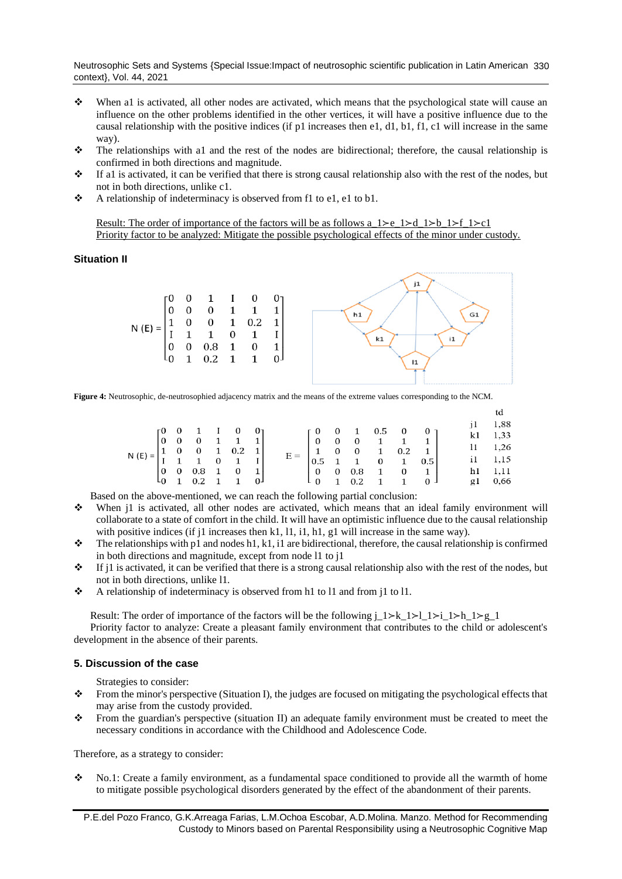Neutrosophic Sets and Systems {Special Issue:Impact of neutrosophic scientific publication in Latin American 330 context}, Vol. 44, 2021

- ❖ When a1 is activated, all other nodes are activated, which means that the psychological state will cause an influence on the other problems identified in the other vertices, it will have a positive influence due to the causal relationship with the positive indices (if p1 increases then e1, d1, b1, f1, c1 will increase in the same way).
- ❖ The relationships with a1 and the rest of the nodes are bidirectional; therefore, the causal relationship is confirmed in both directions and magnitude.
- ❖ If a1 is activated, it can be verified that there is strong causal relationship also with the rest of the nodes, but not in both directions, unlike c1.
- ❖ A relationship of indeterminacy is observed from f1 to e1, e1 to b1.

Result: The order of importance of the factors will be as follows a\_1≻e\_1≻d\_1≻b\_1≻f\_1≻c1 Priority factor to be analyzed: Mitigate the possible psychological effects of the minor under custody.

## **Situation II**



**Figure 4:** Neutrosophic, de-neutrosophied adjacency matrix and the means of the extreme values corresponding to the NCM.

|                                                                                                                                                                                                                                  |  |  |  |                                                                                                                   |                                                         |  |                                                                                                      |  |         |              | 1,88        |
|----------------------------------------------------------------------------------------------------------------------------------------------------------------------------------------------------------------------------------|--|--|--|-------------------------------------------------------------------------------------------------------------------|---------------------------------------------------------|--|------------------------------------------------------------------------------------------------------|--|---------|--------------|-------------|
| N (E) = $\begin{bmatrix} 0 & 0 & 1 & 1 & 0 & 0 \\ 0 & 0 & 0 & 1 & 1 & 1 \\ 1 & 0 & 0 & 1 & 0.2 & 1 \\ 1 & 1 & 1 & 0 & 1 & 1 \end{bmatrix}$<br>$\begin{bmatrix} 0 & 0 & 0.8 & 1 & 0 & 1 \\ 0 & 1 & 0.2 & 1 & 1 & 0 \end{bmatrix}$ |  |  |  | $E = \begin{bmatrix} 0 & 0 & 0 & 1 & 1 & 1 \\ 1 & 0 & 0 & 1 & 0.2 & 1 \\ 0.5 & 1 & 1 & 0 & 1 & 0.5 \end{bmatrix}$ | $\begin{bmatrix} 0 & 0 & 1 & 0.5 & 0 & 0 \end{bmatrix}$ |  |                                                                                                      |  |         |              | $k1 \t1,33$ |
|                                                                                                                                                                                                                                  |  |  |  |                                                                                                                   |                                                         |  |                                                                                                      |  |         |              |             |
|                                                                                                                                                                                                                                  |  |  |  |                                                                                                                   |                                                         |  |                                                                                                      |  |         | $11 \t 1,26$ |             |
|                                                                                                                                                                                                                                  |  |  |  |                                                                                                                   |                                                         |  |                                                                                                      |  |         |              | i1 1,15     |
|                                                                                                                                                                                                                                  |  |  |  |                                                                                                                   |                                                         |  | $\left[\begin{array}{ccccccc} 0 & 0 & 0.8 & 1 & 0 & 1 \\ 0 & 1 & 0.2 & 1 & 1 & 0 \end{array}\right]$ |  | h1 1,11 |              |             |
|                                                                                                                                                                                                                                  |  |  |  |                                                                                                                   |                                                         |  |                                                                                                      |  | g1 0,66 |              |             |
|                                                                                                                                                                                                                                  |  |  |  |                                                                                                                   |                                                         |  |                                                                                                      |  |         |              |             |

Based on the above-mentioned, we can reach the following partial conclusion:

- ❖ When j1 is activated, all other nodes are activated, which means that an ideal family environment will collaborate to a state of comfort in the child. It will have an optimistic influence due to the causal relationship with positive indices (if j1 increases then k1, 11, i1, h1, g1 will increase in the same way).
- $\bullet$  The relationships with p1 and nodes h1, k1, i1 are bidirectional, therefore, the causal relationship is confirmed in both directions and magnitude, except from node l1 to j1
- $\cdot \cdot$  If j1 is activated, it can be verified that there is a strong causal relationship also with the rest of the nodes, but not in both directions, unlike l1.
- ❖ A relationship of indeterminacy is observed from h1 to l1 and from j1 to l1.

Result: The order of importance of the factors will be the following j\_1≻k\_1≻l\_1≻i\_1≻h\_1≻g\_1 Priority factor to analyze: Create a pleasant family environment that contributes to the child or adolescent's development in the absence of their parents.

#### **5. Discussion of the case**

Strategies to consider:

- ❖ From the minor's perspective (Situation I), the judges are focused on mitigating the psychological effects that may arise from the custody provided.
- ❖ From the guardian's perspective (situation II) an adequate family environment must be created to meet the necessary conditions in accordance with the Childhood and Adolescence Code.

Therefore, as a strategy to consider:

❖ No.1: Create a family environment, as a fundamental space conditioned to provide all the warmth of home to mitigate possible psychological disorders generated by the effect of the abandonment of their parents.

P.E.del Pozo Franco, G.K.Arreaga Farias, L.M.Ochoa Escobar, A.D.Molina. Manzo. Method for Recommending Custody to Minors based on Parental Responsibility using a Neutrosophic Cognitive Map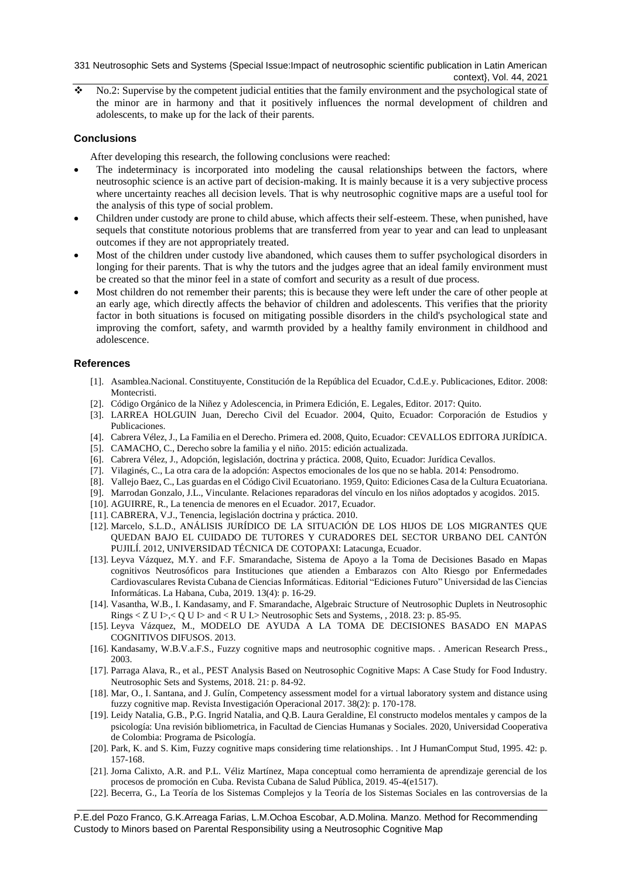331 Neutrosophic Sets and Systems {Special Issue:Impact of neutrosophic scientific publication in Latin American context}, Vol. 44, 2021

 $\cdot$  No.2: Supervise by the competent judicial entities that the family environment and the psychological state of the minor are in harmony and that it positively influences the normal development of children and adolescents, to make up for the lack of their parents.

## **Conclusions**

After developing this research, the following conclusions were reached:

- The indeterminacy is incorporated into modeling the causal relationships between the factors, where neutrosophic science is an active part of decision-making. It is mainly because it is a very subjective process where uncertainty reaches all decision levels. That is why neutrosophic cognitive maps are a useful tool for the analysis of this type of social problem.
- Children under custody are prone to child abuse, which affects their self-esteem. These, when punished, have sequels that constitute notorious problems that are transferred from year to year and can lead to unpleasant outcomes if they are not appropriately treated.
- Most of the children under custody live abandoned, which causes them to suffer psychological disorders in longing for their parents. That is why the tutors and the judges agree that an ideal family environment must be created so that the minor feel in a state of comfort and security as a result of due process.
- Most children do not remember their parents; this is because they were left under the care of other people at an early age, which directly affects the behavior of children and adolescents. This verifies that the priority factor in both situations is focused on mitigating possible disorders in the child's psychological state and improving the comfort, safety, and warmth provided by a healthy family environment in childhood and adolescence.

### **References**

- <span id="page-7-0"></span>[1]. Asamblea.Nacional. Constituyente, Constitución de la República del Ecuador, C.d.E.y. Publicaciones, Editor. 2008: Montecristi.
- <span id="page-7-1"></span>[2]. Código Orgánico de la Niñez y Adolescencia, in Primera Edición, E. Legales, Editor. 2017: Quito.
- <span id="page-7-2"></span>[3]. LARREA HOLGUIN Juan, Derecho Civil del Ecuador. 2004, Quito, Ecuador: Corporación de Estudios y Publicaciones.
- <span id="page-7-3"></span>[4]. Cabrera Vélez, J., La Familia en el Derecho. Primera ed. 2008, Quito, Ecuador: CEVALLOS EDITORA JURÍDICA.
- <span id="page-7-4"></span>[5]. CAMACHO, C., Derecho sobre la familia y el niño. 2015: edición actualizada.
- <span id="page-7-5"></span>[6]. Cabrera Vélez, J., Adopción, legislación, doctrina y práctica. 2008, Quito, Ecuador: Jurídica Cevallos.
- <span id="page-7-6"></span>[7]. Vilaginés, C., La otra cara de la adopción: Aspectos emocionales de los que no se habla. 2014: Pensodromo.
- <span id="page-7-7"></span>[8]. Vallejo Baez, C., Las guardas en el Código Civil Ecuatoriano. 1959, Quito: Ediciones Casa de la Cultura Ecuatoriana.
- <span id="page-7-8"></span>[9]. Marrodan Gonzalo, J.L., Vinculante. Relaciones reparadoras del vínculo en los niños adoptados y acogidos. 2015.
- <span id="page-7-9"></span>[10]. AGUIRRE, R., La tenencia de menores en el Ecuador. 2017, Ecuador.
- <span id="page-7-10"></span>[11]. CABRERA, V.J., Tenencia, legislación doctrina y práctica. 2010.
- <span id="page-7-11"></span>[12]. Marcelo, S.L.D., ANÁLISIS JURÍDICO DE LA SITUACIÓN DE LOS HIJOS DE LOS MIGRANTES QUE QUEDAN BAJO EL CUIDADO DE TUTORES Y CURADORES DEL SECTOR URBANO DEL CANTÓN PUJILÍ. 2012, UNIVERSIDAD TÉCNICA DE COTOPAXI: Latacunga, Ecuador.
- <span id="page-7-12"></span>[13]. Leyva Vázquez, M.Y. and F.F. Smarandache, Sistema de Apoyo a la Toma de Decisiones Basado en Mapas cognitivos Neutrosóficos para Instituciones que atienden a Embarazos con Alto Riesgo por Enfermedades Cardiovasculares Revista Cubana de Ciencias Informáticas. Editorial "Ediciones Futuro" Universidad de las Ciencias Informáticas. La Habana, Cuba, 2019. 13(4): p. 16-29.
- <span id="page-7-13"></span>[14]. Vasantha, W.B., I. Kandasamy, and F. Smarandache, Algebraic Structure of Neutrosophic Duplets in Neutrosophic Rings < Z U I>,< Q U I> and < R U I.> Neutrosophic Sets and Systems, , 2018. 23: p. 85-95.
- <span id="page-7-14"></span>[15]. Leyva Vázquez, M., MODELO DE AYUDA A LA TOMA DE DECISIONES BASADO EN MAPAS COGNITIVOS DIFUSOS. 2013.
- <span id="page-7-15"></span>[16]. Kandasamy, W.B.V.a.F.S., Fuzzy cognitive maps and neutrosophic cognitive maps. . American Research Press., 2003.
- [17]. Parraga Alava, R., et al., PEST Analysis Based on Neutrosophic Cognitive Maps: A Case Study for Food Industry. Neutrosophic Sets and Systems, 2018. 21: p. 84-92.
- [18]. Mar, O., I. Santana, and J. Gulín, Competency assessment model for a virtual laboratory system and distance using fuzzy cognitive map. Revista Investigación Operacional 2017. 38(2): p. 170-178.
- [19]. Leidy Natalia, G.B., P.G. Ingrid Natalia, and Q.B. Laura Geraldine, El constructo modelos mentales y campos de la psicología: Una revisión bibliometrica, in Facultad de Ciencias Humanas y Sociales. 2020, Universidad Cooperativa de Colombia: Programa de Psicología.
- [20]. Park, K. and S. Kim, Fuzzy cognitive maps considering time relationships. . Int J HumanComput Stud, 1995. 42: p. 157-168.
- [21]. Jorna Calixto, A.R. and P.L. Véliz Martínez, Mapa conceptual como herramienta de aprendizaje gerencial de los procesos de promoción en Cuba. Revista Cubana de Salud Pública, 2019. 45-4(e1517).
- [22]. Becerra, G., La Teoría de los Sistemas Complejos y la Teoría de los Sistemas Sociales en las controversias de la

P.E.del Pozo Franco, G.K.Arreaga Farias, L.M.Ochoa Escobar, A.D.Molina. Manzo. Method for Recommending Custody to Minors based on Parental Responsibility using a Neutrosophic Cognitive Map